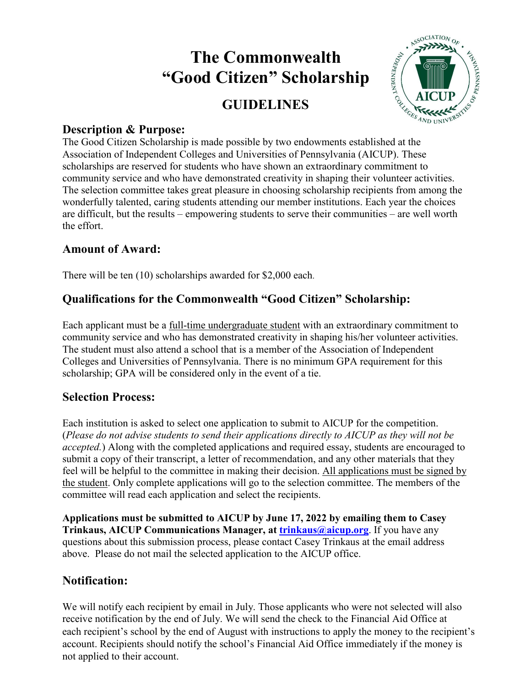# **The Commonwealth "Good Citizen" Scholarship**

# **GUIDELINES**



### **Description & Purpose:**

THE COOD Citizen" Scholarship<br>
GUIDELINES<br>
Description & Purpose:<br>
The Good Citizen Scholarship is made possible by two endowments established at the<br>
The Good Citizen Scholarship is made possible by two endowments establ Association of Independent Colleges and Universities of Pennsylvania (AICUP). These scholarships are reserved for students who have shown an extraordinary commitment to community service and who have demonstrated creativity in shaping their volunteer activities. The selection committee takes great pleasure in choosing scholarship recipients from among the wonderfully talented, caring students attending our member institutions. Each year the choices are difficult, but the results – empowering students to serve their communities – are well worth the effort.

# **Amount of Award:**

There will be ten (10) scholarships awarded for \$2,000 each.

# **Qualifications for the Commonwealth "Good Citizen" Scholarship:**

Each applicant must be a full-time undergraduate student with an extraordinary commitment to community service and who has demonstrated creativity in shaping his/her volunteer activities. The student must also attend a school that is a member of the Association of Independent Colleges and Universities of Pennsylvania. There is no minimum GPA requirement for this scholarship; GPA will be considered only in the event of a tie.

# **Selection Process:**

Each institution is asked to select one application to submit to AICUP for the competition. (*Please do not advise students to send their applications directly to AICUP as they will not be accepted.*) Along with the completed applications and required essay, students are encouraged to submit a copy of their transcript, a letter of recommendation, and any other materials that they feel will be helpful to the committee in making their decision. All applications must be signed by the student. Only complete applications will go to the selection committee. The members of the committee will read each application and select the recipients.

**Applications must be submitted to AICUP by June 17, 2022 by emailing them to Casey Trinkaus, AICUP Communications Manager, at trinkaus@aicup.org**. If you have any questions about this submission process, please contact Casey Trinkaus at the email address above. Please do not mail the selected application to the AICUP office.

# **Notification:**

We will notify each recipient by email in July. Those applicants who were not selected will also receive notification by the end of July. We will send the check to the Financial Aid Office at each recipient's school by the end of August with instructions to apply the money to the recipient's account. Recipients should notify the school's Financial Aid Office immediately if the money is not applied to their account.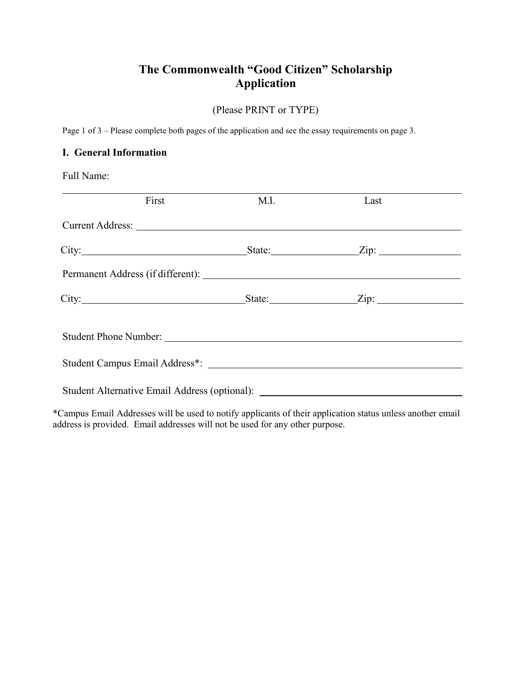# **The Commonwealth "Good Citizen" Scholarship Application**

(Please PRINT or TYPE)

Page 1 of 3 – Please complete both pages of the application and see the essay requirements on page 3.

#### **I. General Information**

Full Name:

| First                                                                                                                                                                                                                          | M.I. | Last |  |
|--------------------------------------------------------------------------------------------------------------------------------------------------------------------------------------------------------------------------------|------|------|--|
| Current Address: Universe of the Second Second Second Second Second Second Second Second Second Second Second Second Second Second Second Second Second Second Second Second Second Second Second Second Second Second Second  |      |      |  |
|                                                                                                                                                                                                                                |      |      |  |
| Permanent Address (if different):                                                                                                                                                                                              |      |      |  |
|                                                                                                                                                                                                                                |      |      |  |
| Student Phone Number: 1988 and 1988 and 1988 and 1988 and 1988 and 1988 and 1988 and 1988 and 1988 and 1988 and 1988 and 1988 and 1988 and 1988 and 1988 and 1988 and 1988 and 1988 and 1988 and 1988 and 1988 and 1988 and 19 |      |      |  |
|                                                                                                                                                                                                                                |      |      |  |
| Student Alternative Email Address (optional): __________________________________                                                                                                                                               |      |      |  |

\*Campus Email Addresses will be used to notify applicants of their application status unless another email address is provided. Email addresses will not be used for any other purpose.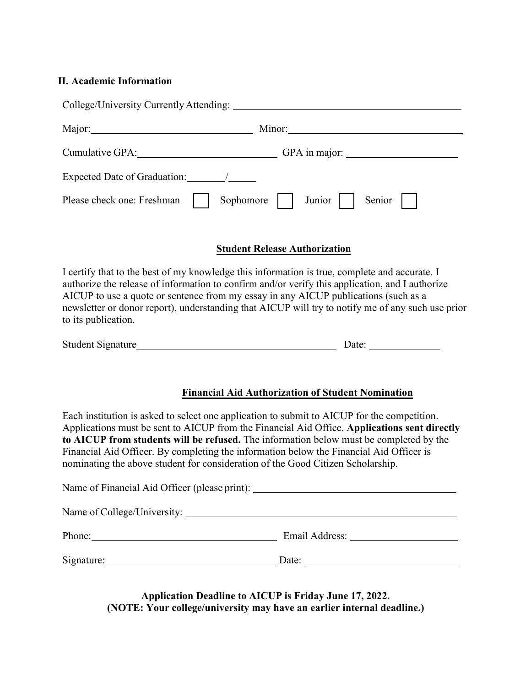#### **II. Academic Information**

| College/University Currently Attending:        |                                  |  |  |
|------------------------------------------------|----------------------------------|--|--|
| Major: Major:                                  | Minor:                           |  |  |
| Cumulative GPA: Value of Allen Cumulative GPA: | GPA in major:                    |  |  |
| Expected Date of Graduation:                   |                                  |  |  |
| Please check one: Freshman                     | Sophomore     Junior  <br>Senior |  |  |

#### **Student Release Authorization**

I certify that to the best of my knowledge this information is true, complete and accurate. I authorize the release of information to confirm and/or verify this application, and I authorize AICUP to use a quote or sentence from my essay in any AICUP publications (such as a newsletter or donor report), understanding that AICUP will try to notify me of any such use prior to its publication.

| <b>Student Signature</b> | Jate |  |
|--------------------------|------|--|
|                          |      |  |

#### **Financial Aid Authorization of Student Nomination**

Each institution is asked to select one application to submit to AICUP for the competition. Applications must be sent to AICUP from the Financial Aid Office. **Applications sent directly to AICUP from students will be refused.** The information below must be completed by the Financial Aid Officer. By completing the information below the Financial Aid Officer is nominating the above student for consideration of the Good Citizen Scholarship.

| Name of Financial Aid Officer (please print): ___________________________________ |
|-----------------------------------------------------------------------------------|
|                                                                                   |
| Email Address: No. 1996                                                           |
| Date: $\qquad \qquad$                                                             |
|                                                                                   |

**Application Deadline to AICUP is Friday June 17, 2022. (NOTE: Your college/university may have an earlier internal deadline.)**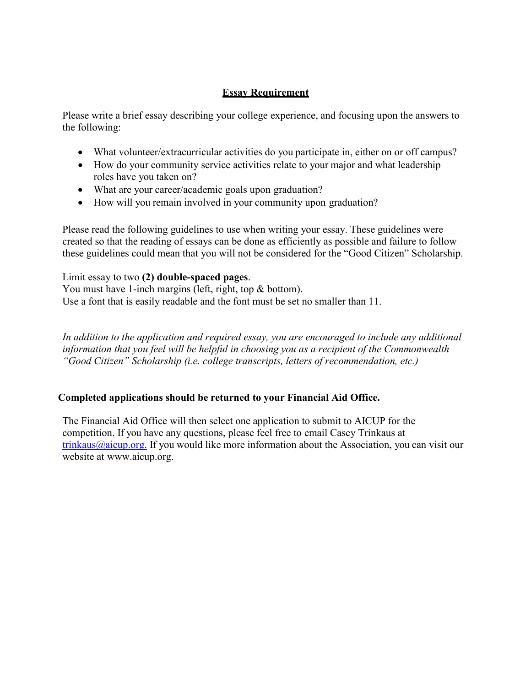#### **Essay Requirement**

Please write a brief essay describing your college experience, and focusing upon the answers to the following:

- What volunteer/extracurricular activities do you participate in, either on or off campus?
- How do your community service activities relate to your major and what leadership roles have you taken on?
- What are your career/academic goals upon graduation?
- How will you remain involved in your community upon graduation?

Please read the following guidelines to use when writing your essay. These guidelines were created so that the reading of essays can be done as efficiently as possible and failure to follow these guidelines could mean that you will not be considered for the "Good Citizen" Scholarship.

#### Limit essay to two **(2) double-spaced pages**.

You must have 1-inch margins (left, right, top & bottom). Use a font that is easily readable and the font must be set no smaller than 11.

*In addition to the application and required essay, you are encouraged to include any additional information that you feel will be helpful in choosing you as a recipient of the Commonwealth "Good Citizen" Scholarship (i.e. college transcripts, letters of recommendation, etc.)* 

#### **Completed applications should be returned to your Financial Aid Office.**

The Financial Aid Office will then select one application to submit to AICUP for the competition. If you have any questions, please feel free to email Casey Trinkaus at  $trinkaus@aicup.org.$  If you would like more information about the Association, you can visit our website [at www.aicup.org.](http://www.aicup.org/)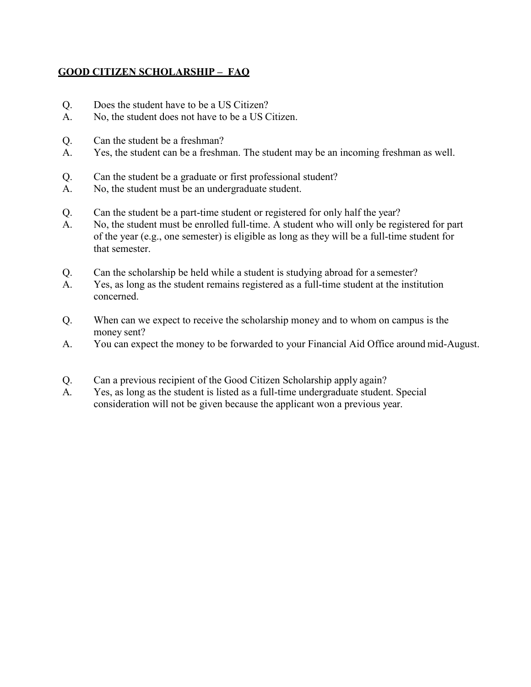#### **GOOD CITIZEN SCHOLARSHIP – FAQ**

- Q. Does the student have to be a US Citizen?
- A. No, the student does not have to be a US Citizen.
- Q. Can the student be a freshman?
- A. Yes, the student can be a freshman. The student may be an incoming freshman as well.
- Q. Can the student be a graduate or first professional student?
- A. No, the student must be an undergraduate student.
- Q. Can the student be a part-time student or registered for only half the year?
- A. No, the student must be enrolled full-time. A student who will only be registered for part of the year (e.g., one semester) is eligible as long as they will be a full-time student for that semester.
- Q. Can the scholarship be held while a student is studying abroad for a semester?
- A. Yes, as long as the student remains registered as a full-time student at the institution concerned.
- Q. When can we expect to receive the scholarship money and to whom on campus is the money sent?
- A. You can expect the money to be forwarded to your Financial Aid Office around mid-August.
- Q. Can a previous recipient of the Good Citizen Scholarship apply again?
- A. Yes, as long as the student is listed as a full-time undergraduate student. Special consideration will not be given because the applicant won a previous year.